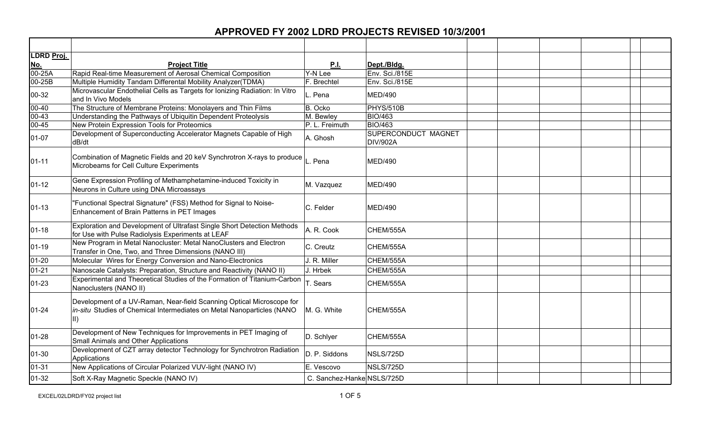| LDRD Proj.           |                                                                                                                                                 |                            |                                 |  |
|----------------------|-------------------------------------------------------------------------------------------------------------------------------------------------|----------------------------|---------------------------------|--|
| <u>No.</u>           | <b>Project Title</b>                                                                                                                            | <u>P.I.</u>                | Dept./Bldg.                     |  |
| $\overline{00-25A}$  | Rapid Real-time Measurement of Aerosal Chemical Composition                                                                                     | Y-N Lee                    | Env. Sci./815E                  |  |
| $\overline{00}$ -25B | Multiple Humidity Tandam Differental Mobility Analyzer(TDMA)                                                                                    | F. Brechtel                | Env. Sci./815E                  |  |
| 00-32                | Microvascular Endothelial Cells as Targets for Ionizing Radiation: In Vitro<br>and In Vivo Models                                               | L. Pena                    | <b>MED/490</b>                  |  |
| 00-40                | The Structure of Membrane Proteins: Monolayers and Thin Films                                                                                   | B. Ocko                    | PHYS/510B                       |  |
| $00 - 43$            | Understanding the Pathways of Ubiquitin Dependent Proteolysis                                                                                   | M. Bewley                  | <b>BIO/463</b>                  |  |
| $00 - 45$            | New Protein Expression Tools for Proteomics                                                                                                     | P. L. Freimuth             | <b>BIO/463</b>                  |  |
| 01-07                | Development of Superconducting Accelerator Magnets Capable of High<br>dB/dt                                                                     | A. Ghosh                   | SUPERCONDUCT MAGNET<br>DIV/902A |  |
| $01 - 11$            | Combination of Magnetic Fields and 20 keV Synchrotron X-rays to produce<br>Microbeams for Cell Culture Experiments                              | L. Pena                    | <b>MED/490</b>                  |  |
| $01 - 12$            | Gene Expression Profiling of Methamphetamine-induced Toxicity in<br>Neurons in Culture using DNA Microassays                                    | M. Vazquez                 | <b>MED/490</b>                  |  |
| $01 - 13$            | "Functional Spectral Signature" (FSS) Method for Signal to Noise-<br>Enhancement of Brain Patterns in PET Images                                | C. Felder                  | <b>MED/490</b>                  |  |
| $01 - 18$            | Exploration and Development of Ultrafast Single Short Detection Methods<br>for Use with Pulse Radiolysis Experiments at LEAF                    | A. R. Cook                 | CHEM/555A                       |  |
| $01 - 19$            | New Program in Metal Nanocluster: Metal NanoClusters and Electron<br>Transfer in One, Two, and Three Dimensions (NANO III)                      | C. Creutz                  | CHEM/555A                       |  |
| $01 - 20$            | Molecular Wires for Energy Conversion and Nano-Electronics                                                                                      | J. R. Miller               | CHEM/555A                       |  |
| $01 - 21$            | Nanoscale Catalysts: Preparation, Structure and Reactivity (NANO II)                                                                            | J. Hrbek                   | CHEM/555A                       |  |
| $01 - 23$            | Experimental and Theoretical Studies of the Formation of Titanium-Carbon<br>Nanoclusters (NANO II)                                              | T. Sears                   | CHEM/555A                       |  |
| $01 - 24$            | Development of a UV-Raman, Near-field Scanning Optical Microscope for<br>in-situ Studies of Chemical Intermediates on Metal Nanoparticles (NANO | M. G. White                | CHEM/555A                       |  |
| $01 - 28$            | Development of New Techniques for Improvements in PET Imaging of<br>Small Animals and Other Applications                                        | D. Schlyer                 | CHEM/555A                       |  |
| $01 - 30$            | Development of CZT array detector Technology for Synchrotron Radiation<br>Applications                                                          | D. P. Siddons              | NSLS/725D                       |  |
| $01 - 31$            | New Applications of Circular Polarized VUV-light (NANO IV)                                                                                      | E. Vescovo                 | NSLS/725D                       |  |
| $01 - 32$            | Soft X-Ray Magnetic Speckle (NANO IV)                                                                                                           | C. Sanchez-Hanke NSLS/725D |                                 |  |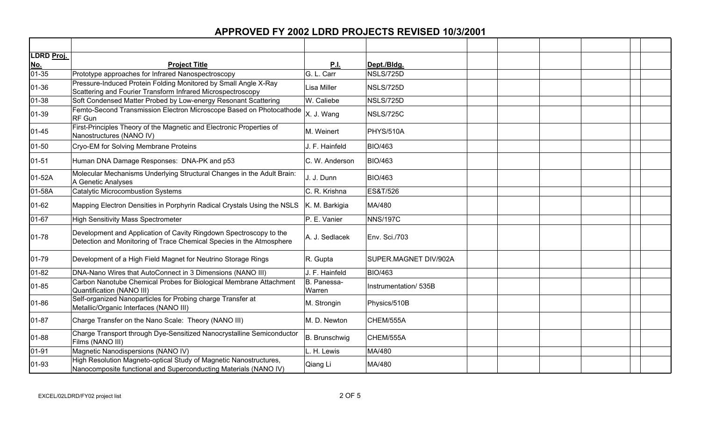| LDRD Proj.                                  |                                                                                                                                            |                       |                       |  |  |
|---------------------------------------------|--------------------------------------------------------------------------------------------------------------------------------------------|-----------------------|-----------------------|--|--|
|                                             | <b>Project Title</b>                                                                                                                       | <u>P.I.</u>           | Dept./Bldg.           |  |  |
| $\underline{\frac{{\sf N}{\sf o.}}{01-35}}$ | Prototype approaches for Infrared Nanospectroscopy                                                                                         | G. L. Carr            | NSLS/725D             |  |  |
| 01-36                                       | Pressure-Induced Protein Folding Monitored by Small Angle X-Ray<br>Scattering and Fourier Transform Infrared Microspectroscopy             | Lisa Miller           | NSLS/725D             |  |  |
| 01-38                                       | Soft Condensed Matter Probed by Low-energy Resonant Scattering                                                                             | W. Caliebe            | NSLS/725D             |  |  |
| 01-39                                       | Femto-Second Transmission Electron Microscope Based on Photocathode<br>RF Gun                                                              | X. J. Wang            | <b>NSLS/725C</b>      |  |  |
| $01 - 45$                                   | First-Principles Theory of the Magnetic and Electronic Properties of<br>Nanostructures (NANO IV)                                           | M. Weinert            | <b>PHYS/510A</b>      |  |  |
| $01 - 50$                                   | Cryo-EM for Solving Membrane Proteins                                                                                                      | J. F. Hainfeld        | <b>BIO/463</b>        |  |  |
| $01 - 51$                                   | Human DNA Damage Responses: DNA-PK and p53                                                                                                 | C. W. Anderson        | <b>BIO/463</b>        |  |  |
| 01-52A                                      | Molecular Mechanisms Underlying Structural Changes in the Adult Brain:<br>A Genetic Analyses                                               | J. J. Dunn            | <b>BIO/463</b>        |  |  |
| 01-58A                                      | Catalytic Microcombustion Systems                                                                                                          | C. R. Krishna         | <b>ES&amp;T/526</b>   |  |  |
| 01-62                                       | Mapping Electron Densities in Porphyrin Radical Crystals Using the NSLS                                                                    | K. M. Barkigia        | MA/480                |  |  |
| 01-67                                       | <b>High Sensitivity Mass Spectrometer</b>                                                                                                  | P. E. Vanier          | <b>NNS/197C</b>       |  |  |
| 01-78                                       | Development and Application of Cavity Ringdown Spectroscopy to the<br>Detection and Monitoring of Trace Chemical Species in the Atmosphere | A. J. Sedlacek        | Env. Sci./703         |  |  |
| 01-79                                       | Development of a High Field Magnet for Neutrino Storage Rings                                                                              | R. Gupta              | SUPER.MAGNET DIV/902A |  |  |
| $01 - 82$                                   | DNA-Nano Wires that AutoConnect in 3 Dimensions (NANO III)                                                                                 | J. F. Hainfeld        | <b>BIO/463</b>        |  |  |
| 01-85                                       | Carbon Nanotube Chemical Probes for Biological Membrane Attachment<br>Quantification (NANO III)                                            | B. Panessa-<br>Warren | Instrumentation/ 535B |  |  |
| 01-86                                       | Self-organized Nanoparticles for Probing charge Transfer at<br>Metallic/Organic Interfaces (NANO III)                                      | M. Strongin           | Physics/510B          |  |  |
| 01-87                                       | Charge Transfer on the Nano Scale: Theory (NANO III)                                                                                       | M. D. Newton          | CHEM/555A             |  |  |
| 01-88                                       | Charge Transport through Dye-Sensitized Nanocrystalline Semiconductor<br>Films (NANO III)                                                  | B. Brunschwig         | CHEM/555A             |  |  |
| 01-91                                       | Magnetic Nanodispersions (NANO IV)                                                                                                         | L. H. Lewis           | MA/480                |  |  |
| 01-93                                       | High Resolution Magneto-optical Study of Magnetic Nanostructures,<br>Nanocomposite functional and Superconducting Materials (NANO IV)      | Qiang Li              | MA/480                |  |  |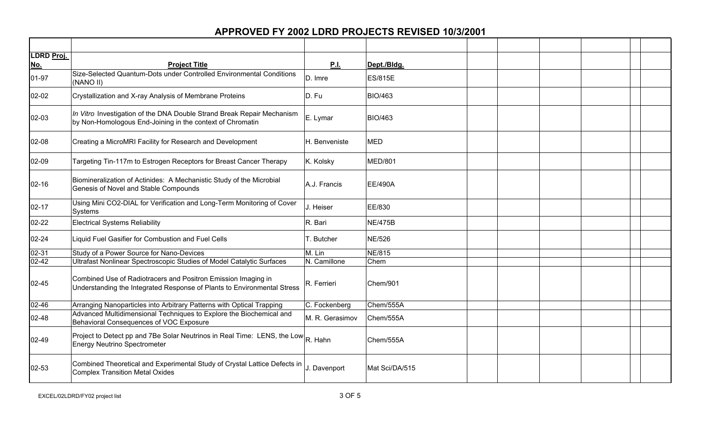| LDRD Proj. |                                                                                                                                          |                 |                |  |
|------------|------------------------------------------------------------------------------------------------------------------------------------------|-----------------|----------------|--|
| No.        | <b>Project Title</b>                                                                                                                     | P.I.            | Dept./Bldg.    |  |
| 01-97      | Size-Selected Quantum-Dots under Controlled Environmental Conditions<br>(NANO II)                                                        | D. Imre         | <b>ES/815E</b> |  |
| $02 - 02$  | Crystallization and X-ray Analysis of Membrane Proteins                                                                                  | D. Fu           | <b>BIO/463</b> |  |
| 02-03      | In Vitro Investigation of the DNA Double Strand Break Repair Mechanism<br>by Non-Homologous End-Joining in the context of Chromatin      | E. Lymar        | <b>BIO/463</b> |  |
| 02-08      | Creating a MicroMRI Facility for Research and Development                                                                                | H. Benveniste   | <b>MED</b>     |  |
| 02-09      | Targeting Tin-117m to Estrogen Receptors for Breast Cancer Therapy                                                                       | K. Kolsky       | <b>MED/801</b> |  |
| $02 - 16$  | Biomineralization of Actinides: A Mechanistic Study of the Microbial<br>Genesis of Novel and Stable Compounds                            | A.J. Francis    | EE/490A        |  |
| $02 - 17$  | Using Mini CO2-DIAL for Verification and Long-Term Monitoring of Cover<br>Systems                                                        | J. Heiser       | EE/830         |  |
| 02-22      | <b>Electrical Systems Reliability</b>                                                                                                    | R. Bari         | <b>NE/475B</b> |  |
| $02 - 24$  | Liquid Fuel Gasifier for Combustion and Fuel Cells                                                                                       | T. Butcher      | <b>NE/526</b>  |  |
| $02 - 31$  | Study of a Power Source for Nano-Devices                                                                                                 | M. Lin          | <b>NE/815</b>  |  |
| $02 - 42$  | Ultrafast Nonlinear Spectroscopic Studies of Model Catalytic Surfaces                                                                    | N. Camillone    | Chem           |  |
| $02 - 45$  | Combined Use of Radiotracers and Positron Emission Imaging in<br>Understanding the Integrated Response of Plants to Environmental Stress | R. Ferrieri     | Chem/901       |  |
| 02-46      | Arranging Nanoparticles into Arbitrary Patterns with Optical Trapping                                                                    | C. Fockenberg   | Chem/555A      |  |
| 02-48      | Advanced Multidimensional Techniques to Explore the Biochemical and<br>Behavioral Consequences of VOC Exposure                           | M. R. Gerasimov | Chem/555A      |  |
| 02-49      | Project to Detect pp and 7Be Solar Neutrinos in Real Time: LENS, the Low R. Hahn<br><b>Energy Neutrino Spectrometer</b>                  |                 | Chem/555A      |  |
| 02-53      | Combined Theoretical and Experimental Study of Crystal Lattice Defects in<br><b>Complex Transition Metal Oxides</b>                      | J. Davenport    | Mat Sci/DA/515 |  |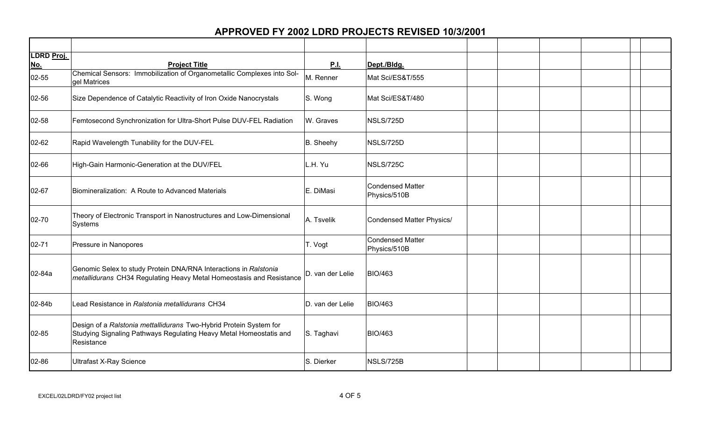| LDRD Proj.          |                                                                                                                                                        |                          |                                         |  |  |  |
|---------------------|--------------------------------------------------------------------------------------------------------------------------------------------------------|--------------------------|-----------------------------------------|--|--|--|
| <u>No.</u><br>02-55 | <b>Project Title</b><br>Chemical Sensors: Immobilization of Organometallic Complexes into Sol-<br>gel Matrices                                         | <b>P.I.</b><br>M. Renner | Dept./Bldg.<br>Mat Sci/ES&T/555         |  |  |  |
| 02-56               | Size Dependence of Catalytic Reactivity of Iron Oxide Nanocrystals                                                                                     | S. Wong                  | Mat Sci/ES&T/480                        |  |  |  |
| 02-58               | Femtosecond Synchronization for Ultra-Short Pulse DUV-FEL Radiation                                                                                    | W. Graves                | NSLS/725D                               |  |  |  |
| 02-62               | Rapid Wavelength Tunability for the DUV-FEL                                                                                                            | B. Sheehy                | NSLS/725D                               |  |  |  |
| 02-66               | High-Gain Harmonic-Generation at the DUV/FEL                                                                                                           | L.H. Yu                  | <b>NSLS/725C</b>                        |  |  |  |
| 02-67               | Biomineralization: A Route to Advanced Materials                                                                                                       | E. DiMasi                | <b>Condensed Matter</b><br>Physics/510B |  |  |  |
| 02-70               | Theory of Electronic Transport in Nanostructures and Low-Dimensional<br>Systems                                                                        | A. Tsvelik               | Condensed Matter Physics/               |  |  |  |
| 02-71               | Pressure in Nanopores                                                                                                                                  | T. Vogt                  | <b>Condensed Matter</b><br>Physics/510B |  |  |  |
| 02-84a              | Genomic Selex to study Protein DNA/RNA Interactions in Ralstonia<br>metallidurans CH34 Regulating Heavy Metal Homeostasis and Resistance               | D. van der Lelie         | <b>BIO/463</b>                          |  |  |  |
| 02-84b              | Lead Resistance in Ralstonia metallidurans CH34                                                                                                        | D. van der Lelie         | <b>BIO/463</b>                          |  |  |  |
| 02-85               | Design of a Ralstonia mettallidurans Two-Hybrid Protein System for<br>Studying Signaling Pathways Regulating Heavy Metal Homeostatis and<br>Resistance | S. Taghavi               | <b>BIO/463</b>                          |  |  |  |
| 02-86               | <b>Ultrafast X-Ray Science</b>                                                                                                                         | S. Dierker               | NSLS/725B                               |  |  |  |